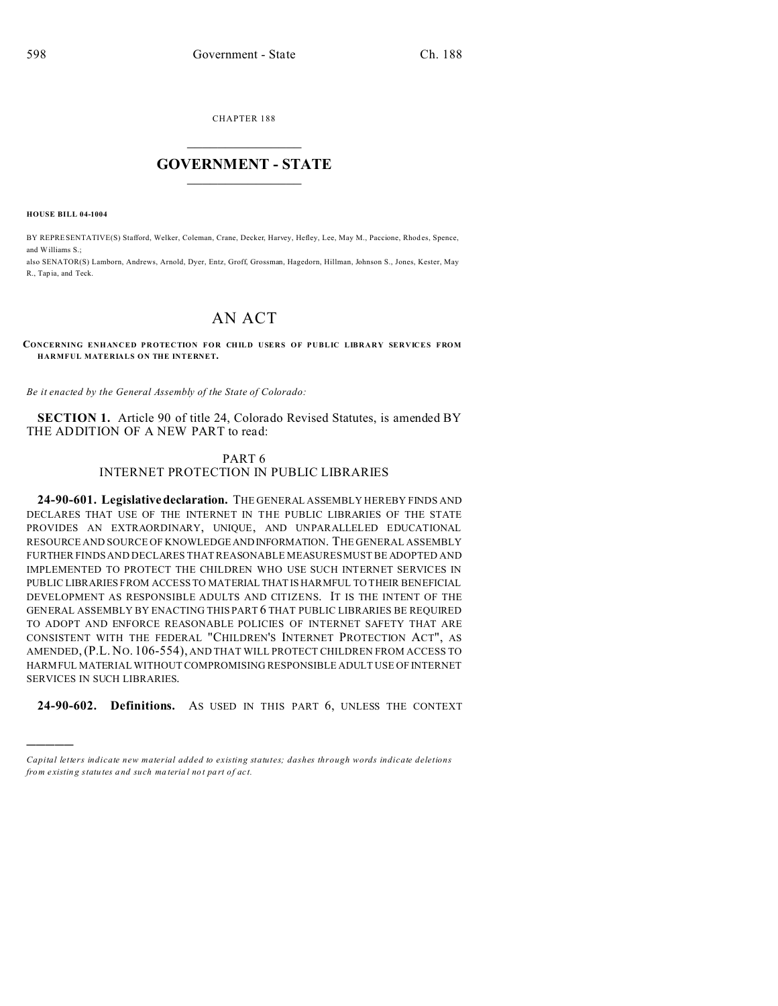CHAPTER 188  $\overline{\phantom{a}}$  , where  $\overline{\phantom{a}}$ 

## **GOVERNMENT - STATE**  $\_$   $\_$   $\_$   $\_$   $\_$   $\_$   $\_$   $\_$   $\_$

**HOUSE BILL 04-1004**

)))))

BY REPRESENTATIVE(S) Stafford, Welker, Coleman, Crane, Decker, Harvey, Hefley, Lee, May M., Paccione, Rhod es, Spence, and Williams S.;

also SENATOR(S) Lamborn, Andrews, Arnold, Dyer, Entz, Groff, Grossman, Hagedorn, Hillman, Johnson S., Jones, Kester, May R., Tap ia, and Teck.

## AN ACT

## **CONCERNING ENHANCED PROTECTION FOR CHILD USERS OF PUBLIC LIBRARY SERVICES FROM HARMFUL MATERIALS ON THE INTERNET.**

*Be it enacted by the General Assembly of the State of Colorado:*

**SECTION 1.** Article 90 of title 24, Colorado Revised Statutes, is amended BY THE ADDITION OF A NEW PART to read:

## PART 6 INTERNET PROTECTION IN PUBLIC LIBRARIES

**24-90-601. Legislativedeclaration.** THE GENERAL ASSEMBLY HEREBY FINDS AND DECLARES THAT USE OF THE INTERNET IN THE PUBLIC LIBRARIES OF THE STATE PROVIDES AN EXTRAORDINARY, UNIQUE, AND UNPARALLELED EDUCATIONAL RESOURCE AND SOURCE OF KNOWLEDGEANDINFORMATION. THE GENERAL ASSEMBLY FURTHER FINDS AND DECLARES THAT REASONABLE MEASURES MUST BE ADOPTED AND IMPLEMENTED TO PROTECT THE CHILDREN WHO USE SUCH INTERNET SERVICES IN PUBLIC LIBRARIES FROM ACCESS TO MATERIAL THAT IS HARMFUL TO THEIR BENEFICIAL DEVELOPMENT AS RESPONSIBLE ADULTS AND CITIZENS. IT IS THE INTENT OF THE GENERAL ASSEMBLY BY ENACTING THIS PART 6 THAT PUBLIC LIBRARIES BE REQUIRED TO ADOPT AND ENFORCE REASONABLE POLICIES OF INTERNET SAFETY THAT ARE CONSISTENT WITH THE FEDERAL "CHILDREN'S INTERNET PROTECTION ACT", AS AMENDED,(P.L. NO. 106-554), AND THAT WILL PROTECT CHILDREN FROM ACCESS TO HARMFUL MATERIAL WITHOUT COMPROMISING RESPONSIBLE ADULT USE OF INTERNET SERVICES IN SUCH LIBRARIES.

**24-90-602. Definitions.** AS USED IN THIS PART 6, UNLESS THE CONTEXT

*Capital letters indicate new material added to existing statutes; dashes through words indicate deletions from e xistin g statu tes a nd such ma teria l no t pa rt of ac t.*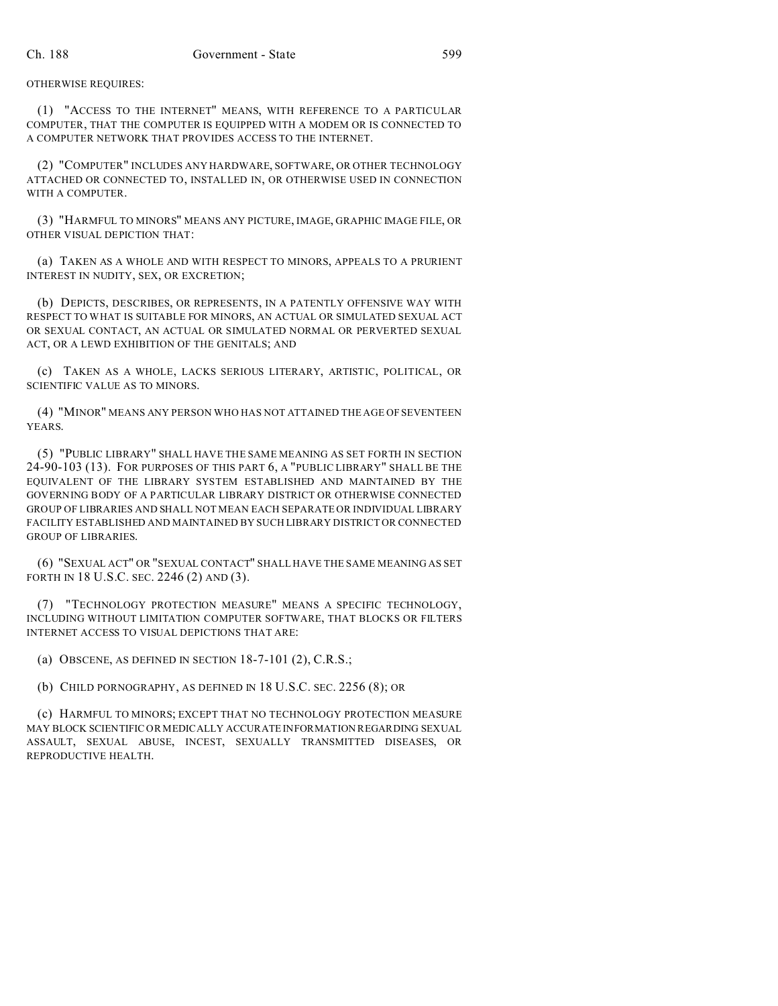(1) "ACCESS TO THE INTERNET" MEANS, WITH REFERENCE TO A PARTICULAR COMPUTER, THAT THE COMPUTER IS EQUIPPED WITH A MODEM OR IS CONNECTED TO A COMPUTER NETWORK THAT PROVIDES ACCESS TO THE INTERNET.

(2) "COMPUTER" INCLUDES ANY HARDWARE, SOFTWARE, OR OTHER TECHNOLOGY ATTACHED OR CONNECTED TO, INSTALLED IN, OR OTHERWISE USED IN CONNECTION WITH A COMPUTER.

(3) "HARMFUL TO MINORS" MEANS ANY PICTURE, IMAGE, GRAPHIC IMAGE FILE, OR OTHER VISUAL DEPICTION THAT:

(a) TAKEN AS A WHOLE AND WITH RESPECT TO MINORS, APPEALS TO A PRURIENT INTEREST IN NUDITY, SEX, OR EXCRETION;

(b) DEPICTS, DESCRIBES, OR REPRESENTS, IN A PATENTLY OFFENSIVE WAY WITH RESPECT TO WHAT IS SUITABLE FOR MINORS, AN ACTUAL OR SIMULATED SEXUAL ACT OR SEXUAL CONTACT, AN ACTUAL OR SIMULATED NORMAL OR PERVERTED SEXUAL ACT, OR A LEWD EXHIBITION OF THE GENITALS; AND

(c) TAKEN AS A WHOLE, LACKS SERIOUS LITERARY, ARTISTIC, POLITICAL, OR SCIENTIFIC VALUE AS TO MINORS.

(4) "MINOR" MEANS ANY PERSON WHO HAS NOT ATTAINED THE AGE OF SEVENTEEN YEARS.

(5) "PUBLIC LIBRARY" SHALL HAVE THE SAME MEANING AS SET FORTH IN SECTION 24-90-103 (13). FOR PURPOSES OF THIS PART 6, A "PUBLIC LIBRARY" SHALL BE THE EQUIVALENT OF THE LIBRARY SYSTEM ESTABLISHED AND MAINTAINED BY THE GOVERNING BODY OF A PARTICULAR LIBRARY DISTRICT OR OTHERWISE CONNECTED GROUP OF LIBRARIES AND SHALL NOT MEAN EACH SEPARATE OR INDIVIDUAL LIBRARY FACILITY ESTABLISHED AND MAINTAINED BY SUCH LIBRARY DISTRICT OR CONNECTED GROUP OF LIBRARIES.

(6) "SEXUAL ACT" OR "SEXUAL CONTACT" SHALL HAVE THE SAME MEANING AS SET FORTH IN 18 U.S.C. SEC. 2246 (2) AND (3).

(7) "TECHNOLOGY PROTECTION MEASURE" MEANS A SPECIFIC TECHNOLOGY, INCLUDING WITHOUT LIMITATION COMPUTER SOFTWARE, THAT BLOCKS OR FILTERS INTERNET ACCESS TO VISUAL DEPICTIONS THAT ARE:

(a) OBSCENE, AS DEFINED IN SECTION 18-7-101 (2), C.R.S.;

(b) CHILD PORNOGRAPHY, AS DEFINED IN 18 U.S.C. SEC. 2256 (8); OR

(c) HARMFUL TO MINORS; EXCEPT THAT NO TECHNOLOGY PROTECTION MEASURE MAY BLOCK SCIENTIFIC OR MEDICALLY ACCURATE INFORMATION REGARDING SEXUAL ASSAULT, SEXUAL ABUSE, INCEST, SEXUALLY TRANSMITTED DISEASES, OR REPRODUCTIVE HEALTH.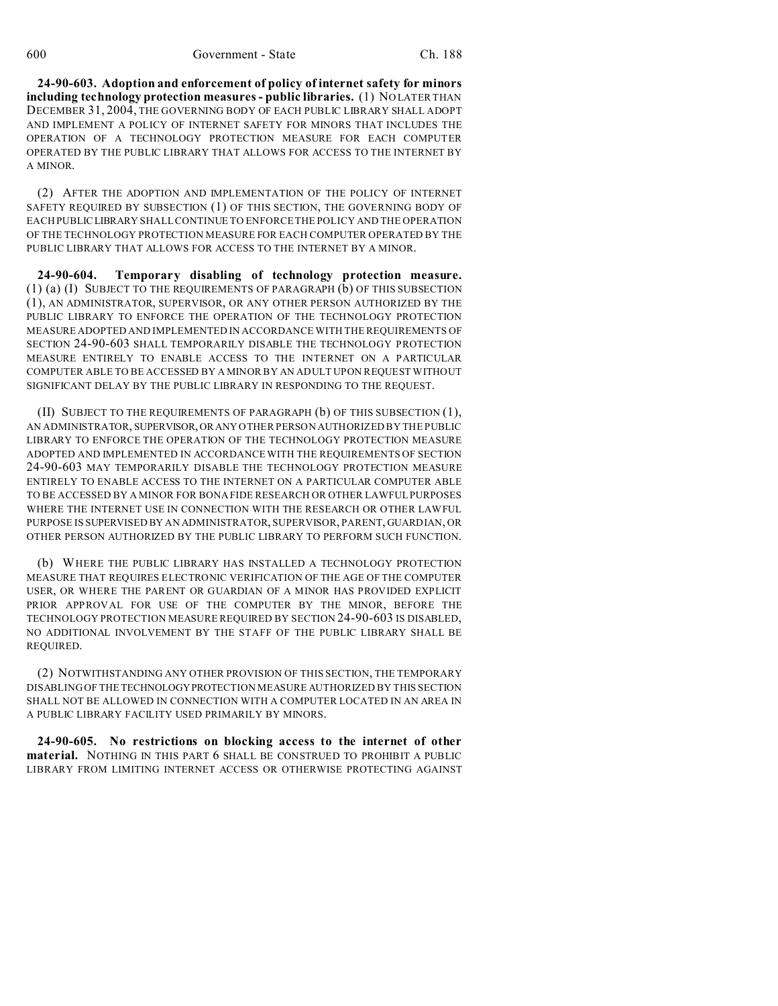**24-90-603. Adoption and enforcement of policy of internet safety for minors including technology protection measures - public libraries.** (1) NO LATER THAN DECEMBER 31, 2004, THE GOVERNING BODY OF EACH PUBLIC LIBRARY SHALL ADOPT AND IMPLEMENT A POLICY OF INTERNET SAFETY FOR MINORS THAT INCLUDES THE OPERATION OF A TECHNOLOGY PROTECTION MEASURE FOR EACH COMPUTER OPERATED BY THE PUBLIC LIBRARY THAT ALLOWS FOR ACCESS TO THE INTERNET BY A MINOR.

(2) AFTER THE ADOPTION AND IMPLEMENTATION OF THE POLICY OF INTERNET SAFETY REQUIRED BY SUBSECTION (1) OF THIS SECTION, THE GOVERNING BODY OF EACH PUBLICLIBRARY SHALL CONTINUE TO ENFORCE THE POLICY AND THE OPERATION OF THE TECHNOLOGY PROTECTION MEASURE FOR EACH COMPUTER OPERATED BY THE PUBLIC LIBRARY THAT ALLOWS FOR ACCESS TO THE INTERNET BY A MINOR.

**24-90-604. Temporary disabling of technology protection measure.** (1) (a) (I) SUBJECT TO THE REQUIREMENTS OF PARAGRAPH (b) OF THIS SUBSECTION (1), AN ADMINISTRATOR, SUPERVISOR, OR ANY OTHER PERSON AUTHORIZED BY THE PUBLIC LIBRARY TO ENFORCE THE OPERATION OF THE TECHNOLOGY PROTECTION MEASURE ADOPTED AND IMPLEMENTED IN ACCORDANCE WITH THE REQUIREMENTS OF SECTION 24-90-603 SHALL TEMPORARILY DISABLE THE TECHNOLOGY PROTECTION MEASURE ENTIRELY TO ENABLE ACCESS TO THE INTERNET ON A PARTICULAR COMPUTER ABLE TO BE ACCESSED BY A MINOR BY AN ADULT UPON REQUEST WITHOUT SIGNIFICANT DELAY BY THE PUBLIC LIBRARY IN RESPONDING TO THE REQUEST.

(II) SUBJECT TO THE REQUIREMENTS OF PARAGRAPH (b) OF THIS SUBSECTION (1), AN ADMINISTRATOR, SUPERVISOR,OR ANY OTHER PERSON AUTHORIZED BY THE PUBLIC LIBRARY TO ENFORCE THE OPERATION OF THE TECHNOLOGY PROTECTION MEASURE ADOPTED AND IMPLEMENTED IN ACCORDANCE WITH THE REQUIREMENTS OF SECTION 24-90-603 MAY TEMPORARILY DISABLE THE TECHNOLOGY PROTECTION MEASURE ENTIRELY TO ENABLE ACCESS TO THE INTERNET ON A PARTICULAR COMPUTER ABLE TO BE ACCESSED BY A MINOR FOR BONA FIDE RESEARCH OR OTHER LAWFUL PURPOSES WHERE THE INTERNET USE IN CONNECTION WITH THE RESEARCH OR OTHER LAWFUL PURPOSE IS SUPERVISED BY AN ADMINISTRATOR, SUPERVISOR, PARENT, GUARDIAN, OR OTHER PERSON AUTHORIZED BY THE PUBLIC LIBRARY TO PERFORM SUCH FUNCTION.

(b) WHERE THE PUBLIC LIBRARY HAS INSTALLED A TECHNOLOGY PROTECTION MEASURE THAT REQUIRES ELECTRONIC VERIFICATION OF THE AGE OF THE COMPUTER USER, OR WHERE THE PARENT OR GUARDIAN OF A MINOR HAS PROVIDED EXPLICIT PRIOR APPROVAL FOR USE OF THE COMPUTER BY THE MINOR, BEFORE THE TECHNOLOGY PROTECTION MEASURE REQUIRED BY SECTION 24-90-603 IS DISABLED, NO ADDITIONAL INVOLVEMENT BY THE STAFF OF THE PUBLIC LIBRARY SHALL BE REQUIRED.

(2) NOTWITHSTANDING ANY OTHER PROVISION OF THIS SECTION, THE TEMPORARY DISABLING OF THE TECHNOLOGYPROTECTION MEASURE AUTHORIZED BY THIS SECTION SHALL NOT BE ALLOWED IN CONNECTION WITH A COMPUTER LOCATED IN AN AREA IN A PUBLIC LIBRARY FACILITY USED PRIMARILY BY MINORS.

**24-90-605. No restrictions on blocking access to the internet of other material.** NOTHING IN THIS PART 6 SHALL BE CONSTRUED TO PROHIBIT A PUBLIC LIBRARY FROM LIMITING INTERNET ACCESS OR OTHERWISE PROTECTING AGAINST